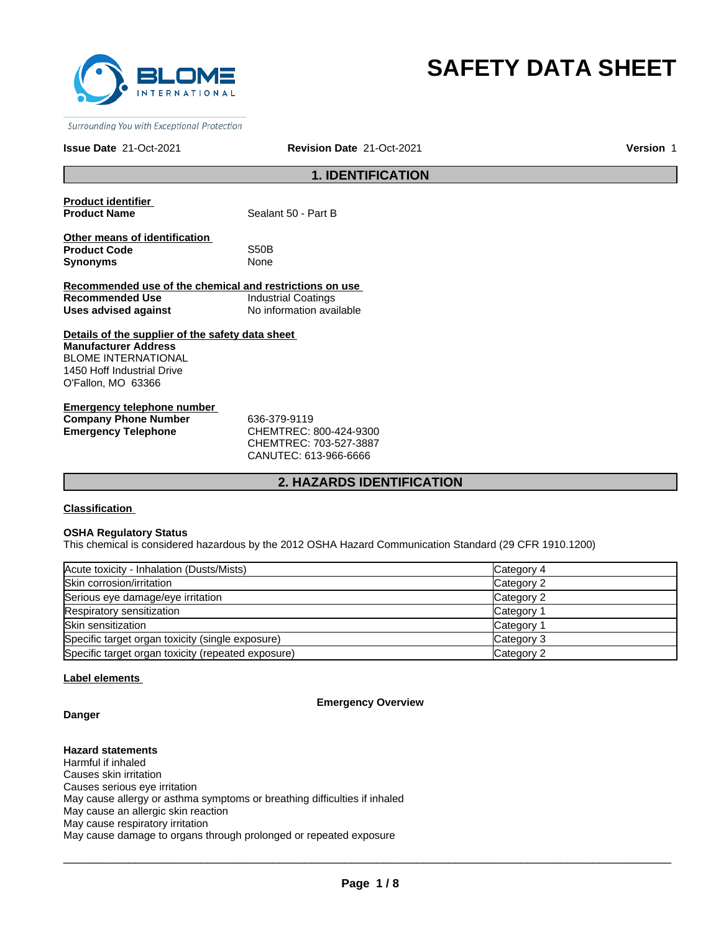

# **SAFETY DATA SHEET**

Surrounding You with Exceptional Protection

#### **Issue Date** 21-Oct-2021 **Revision Date** 21-Oct-2021

**Version** 1

## **1. IDENTIFICATION**

**Product identifier** 

**Sealant 50 - Part B** 

**Other means of identification Product Code** S50B **Synonyms** None

**Recommended use of the chemical and restrictions on use Recommended Use** Industrial Coatings **Uses advised against** No information available

**Details of the supplier of the safety data sheet Manufacturer Address** BLOME INTERNATIONAL 1450 Hoff Industrial Drive O'Fallon, MO 63366

**Emergency telephone number Company Phone Number** 636-379-9119 **Emergency Telephone** CHEMTREC: 800-424-9300

CHEMTREC: 703-527-3887 CANUTEC: 613-966-6666

## **2. HAZARDS IDENTIFICATION**

## **Classification**

#### **OSHA Regulatory Status**

This chemical is considered hazardous by the 2012 OSHA Hazard Communication Standard (29 CFR 1910.1200)

| Acute toxicity - Inhalation (Dusts/Mists)          | Category 4 |
|----------------------------------------------------|------------|
| Skin corrosion/irritation                          | Category 2 |
| Serious eye damage/eye irritation                  | Category 2 |
| Respiratory sensitization                          | Category 1 |
| Skin sensitization                                 | Category 1 |
| Specific target organ toxicity (single exposure)   | Category 3 |
| Specific target organ toxicity (repeated exposure) | Category 2 |

## **Label elements**

#### **Emergency Overview**

## **Danger**

**Hazard statements** Harmful if inhaled Causes skin irritation Causes serious eye irritation May cause allergy or asthma symptoms or breathing difficulties if inhaled May cause an allergic skin reaction May cause respiratory irritation May cause damage to organs through prolonged or repeated exposure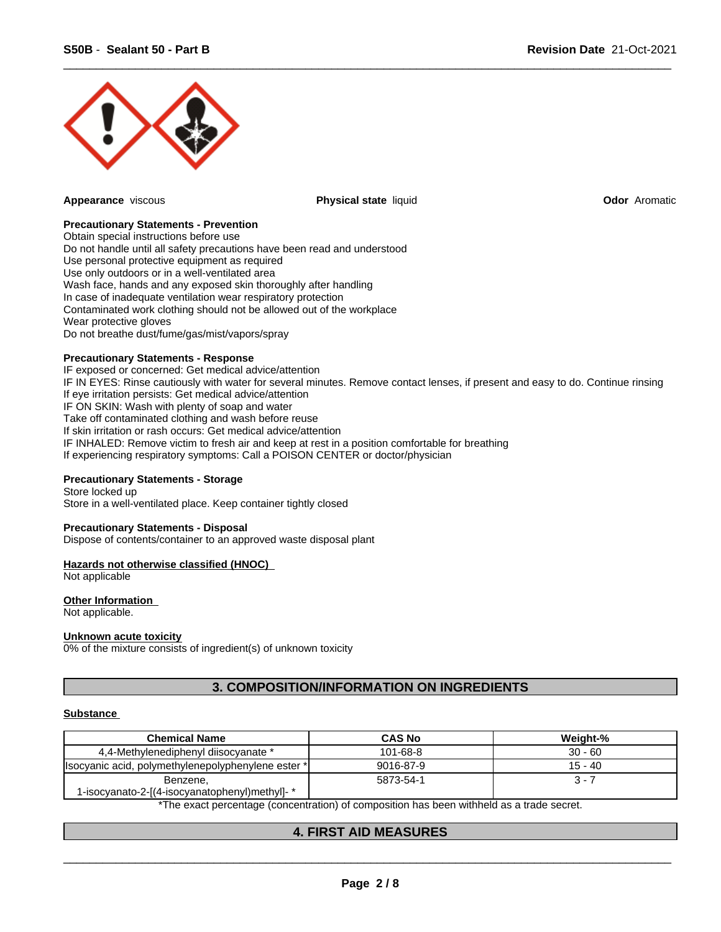

**Appearance** viscous **Physical state** liquid **Odor** Aromatic

 $\overline{\phantom{a}}$  ,  $\overline{\phantom{a}}$  ,  $\overline{\phantom{a}}$  ,  $\overline{\phantom{a}}$  ,  $\overline{\phantom{a}}$  ,  $\overline{\phantom{a}}$  ,  $\overline{\phantom{a}}$  ,  $\overline{\phantom{a}}$  ,  $\overline{\phantom{a}}$  ,  $\overline{\phantom{a}}$  ,  $\overline{\phantom{a}}$  ,  $\overline{\phantom{a}}$  ,  $\overline{\phantom{a}}$  ,  $\overline{\phantom{a}}$  ,  $\overline{\phantom{a}}$  ,  $\overline{\phantom{a}}$ 

#### **Precautionary Statements - Prevention**

Obtain special instructions before use Do not handle until all safety precautions have been read and understood Use personal protective equipment as required Use only outdoors or in a well-ventilated area Wash face, hands and any exposed skin thoroughly after handling In case of inadequate ventilation wear respiratory protection Contaminated work clothing should not be allowed out of the workplace Wear protective gloves Do not breathe dust/fume/gas/mist/vapors/spray

#### **Precautionary Statements - Response**

IF exposed or concerned: Get medical advice/attention IF IN EYES: Rinse cautiously with water for several minutes. Remove contact lenses, if present and easy to do. Continue rinsing If eye irritation persists: Get medical advice/attention IF ON SKIN: Wash with plenty of soap and water Take off contaminated clothing and wash before reuse If skin irritation or rash occurs: Get medical advice/attention IF INHALED: Remove victim to fresh air and keep at rest in a position comfortable for breathing If experiencing respiratory symptoms: Call a POISON CENTER or doctor/physician

## **Precautionary Statements - Storage**

Store locked up Store in a well-ventilated place. Keep container tightly closed

#### **Precautionary Statements - Disposal**

Dispose of contents/container to an approved waste disposal plant

#### **Hazards not otherwise classified (HNOC)**

Not applicable

## **Other Information**

Not applicable.

#### **Unknown acute toxicity**

0% of the mixture consists of ingredient(s) of unknown toxicity

## **3. COMPOSITION/INFORMATION ON INGREDIENTS**

#### **Substance**

| <b>Chemical Name</b>                                      | <b>CAS No</b> | Weight-%  |
|-----------------------------------------------------------|---------------|-----------|
| 4.4-Methylenediphenyl diisocyanate *                      | 101-68-8      | $30 - 60$ |
| (Isocyanic acid, polymethylenepolyphenylene ester *)      | 9016-87-9     | 15 - 40   |
| Benzene,<br>1-isocyanato-2-[(4-isocyanatophenyl)methyl]-* | 5873-54-1     | $3 - 7$   |

\*The exact percentage (concentration) of composition has been withheld as a trade secret.

## **4. FIRST AID MEASURES**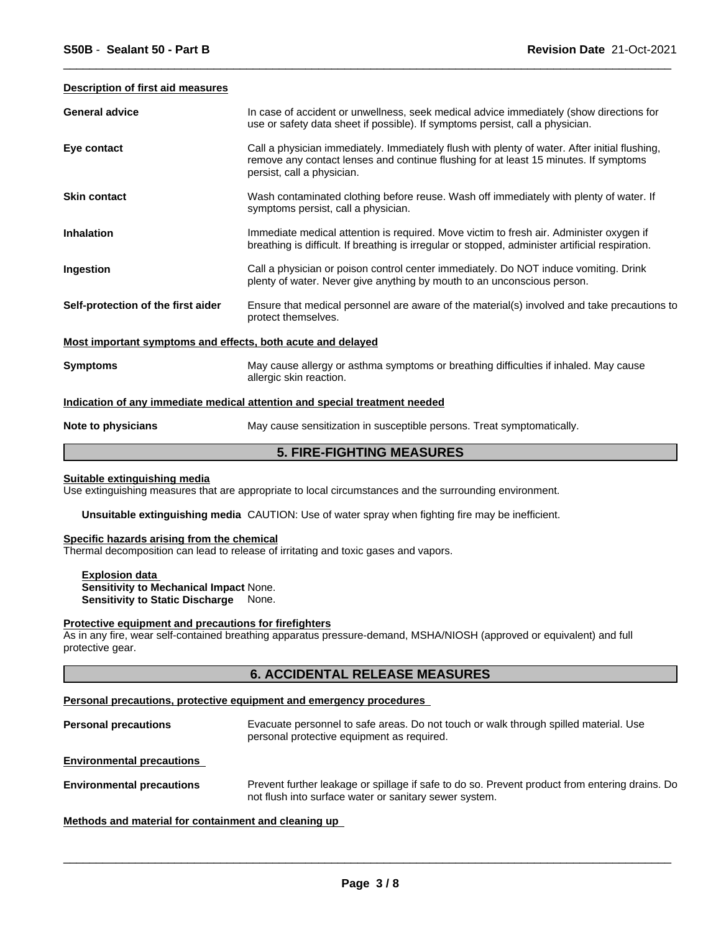#### **Description of first aid measures**

| <b>General advice</b>                                       | In case of accident or unwellness, seek medical advice immediately (show directions for<br>use or safety data sheet if possible). If symptoms persist, call a physician.                                            |  |  |
|-------------------------------------------------------------|---------------------------------------------------------------------------------------------------------------------------------------------------------------------------------------------------------------------|--|--|
| Eye contact                                                 | Call a physician immediately. Immediately flush with plenty of water. After initial flushing,<br>remove any contact lenses and continue flushing for at least 15 minutes. If symptoms<br>persist, call a physician. |  |  |
| <b>Skin contact</b>                                         | Wash contaminated clothing before reuse. Wash off immediately with plenty of water. If<br>symptoms persist, call a physician.                                                                                       |  |  |
| <b>Inhalation</b>                                           | Immediate medical attention is required. Move victim to fresh air. Administer oxygen if<br>breathing is difficult. If breathing is irregular or stopped, administer artificial respiration.                         |  |  |
| Ingestion                                                   | Call a physician or poison control center immediately. Do NOT induce vomiting. Drink<br>plenty of water. Never give anything by mouth to an unconscious person.                                                     |  |  |
| Self-protection of the first aider                          | Ensure that medical personnel are aware of the material(s) involved and take precautions to<br>protect themselves.                                                                                                  |  |  |
| Most important symptoms and effects, both acute and delayed |                                                                                                                                                                                                                     |  |  |
| <b>Symptoms</b>                                             | May cause allergy or asthma symptoms or breathing difficulties if inhaled. May cause<br>allergic skin reaction.                                                                                                     |  |  |
|                                                             | Indication of any immediate medical attention and special treatment needed                                                                                                                                          |  |  |
| Note to physicians                                          | May cause sensitization in susceptible persons. Treat symptomatically.                                                                                                                                              |  |  |

 $\overline{\phantom{a}}$  ,  $\overline{\phantom{a}}$  ,  $\overline{\phantom{a}}$  ,  $\overline{\phantom{a}}$  ,  $\overline{\phantom{a}}$  ,  $\overline{\phantom{a}}$  ,  $\overline{\phantom{a}}$  ,  $\overline{\phantom{a}}$  ,  $\overline{\phantom{a}}$  ,  $\overline{\phantom{a}}$  ,  $\overline{\phantom{a}}$  ,  $\overline{\phantom{a}}$  ,  $\overline{\phantom{a}}$  ,  $\overline{\phantom{a}}$  ,  $\overline{\phantom{a}}$  ,  $\overline{\phantom{a}}$ 

## **5. FIRE-FIGHTING MEASURES**

## **Suitable extinguishing media**

Use extinguishing measures that are appropriate to local circumstances and the surrounding environment.

**Unsuitable extinguishing media** CAUTION: Use of water spray when fighting fire may be inefficient.

#### **Specific hazards arising from the chemical**

Thermal decomposition can lead to release of irritating and toxic gases and vapors.

**Explosion data Sensitivity to Mechanical Impact** None. **Sensitivity to Static Discharge** None.

#### **Protective equipment and precautions for firefighters**

As in any fire, wear self-contained breathing apparatus pressure-demand, MSHA/NIOSH (approved or equivalent) and full protective gear.

## **6. ACCIDENTAL RELEASE MEASURES**

#### **Personal precautions, protective equipment and emergency procedures**

| <b>Personal precautions</b> | Evacuate personnel to safe areas. Do not touch or walk through spilled material. Use<br>personal protective equipment as required. |
|-----------------------------|------------------------------------------------------------------------------------------------------------------------------------|
|                             |                                                                                                                                    |

**Environmental precautions** 

**Environmental precautions** Prevent further leakage or spillage if safe to do so. Prevent product from entering drains. Do not flush into surface water or sanitary sewer system.

## **Methods and material for containment and cleaning up**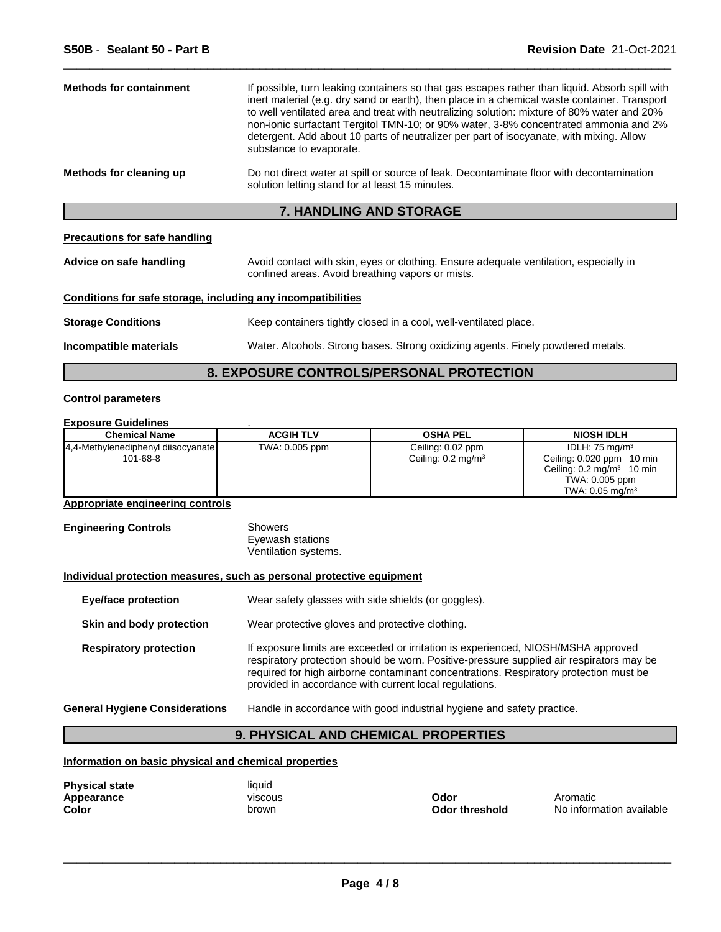| <b>Methods for containment</b> | If possible, turn leaking containers so that gas escapes rather than liquid. Absorb spill with<br>inert material (e.g. dry sand or earth), then place in a chemical waste container. Transport<br>to well ventilated area and treat with neutralizing solution: mixture of 80% water and 20%<br>non-ionic surfactant Tergitol TMN-10; or 90% water, 3-8% concentrated ammonia and 2%<br>detergent. Add about 10 parts of neutralizer per part of isocyanate, with mixing. Allow<br>substance to evaporate. |
|--------------------------------|------------------------------------------------------------------------------------------------------------------------------------------------------------------------------------------------------------------------------------------------------------------------------------------------------------------------------------------------------------------------------------------------------------------------------------------------------------------------------------------------------------|
| Methods for cleaning up        | Do not direct water at spill or source of leak. Decontaminate floor with decontamination<br>solution letting stand for at least 15 minutes.                                                                                                                                                                                                                                                                                                                                                                |

## **7. HANDLING AND STORAGE**

## **Precautions for safe handling**

| Advice on safe handling | Avoid contact with skin, eyes or clothing. Ensure adequate ventilation, especially in |
|-------------------------|---------------------------------------------------------------------------------------|
|                         | confined areas. Avoid breathing vapors or mists.                                      |

## **Conditions for safe storage, including any incompatibilities**

| <b>Storage Conditions</b> | Keep containers tightly closed in a cool, well-ventilated place. |
|---------------------------|------------------------------------------------------------------|
|                           |                                                                  |

**Incompatible materials** Water. Alcohols. Strong bases. Strong oxidizing agents. Finely powdered metals.

 $\overline{\phantom{a}}$  ,  $\overline{\phantom{a}}$  ,  $\overline{\phantom{a}}$  ,  $\overline{\phantom{a}}$  ,  $\overline{\phantom{a}}$  ,  $\overline{\phantom{a}}$  ,  $\overline{\phantom{a}}$  ,  $\overline{\phantom{a}}$  ,  $\overline{\phantom{a}}$  ,  $\overline{\phantom{a}}$  ,  $\overline{\phantom{a}}$  ,  $\overline{\phantom{a}}$  ,  $\overline{\phantom{a}}$  ,  $\overline{\phantom{a}}$  ,  $\overline{\phantom{a}}$  ,  $\overline{\phantom{a}}$ 

## **8. EXPOSURE CONTROLS/PERSONAL PROTECTION**

## **Control parameters**

## **Exposure Guidelines** .

| <b>Chemical Name</b>                 | <b>ACGIH TLV</b> | <b>OSHA PEL</b>               | <b>NIOSH IDLH</b>                       |
|--------------------------------------|------------------|-------------------------------|-----------------------------------------|
| [4,4-Methylenediphenyl diisocyanate] | TWA: 0.005 ppm   | Ceiling: 0.02 ppm             | IDLH: $75 \text{ mg/m}^3$               |
| 101-68-8                             |                  | Ceiling: $0.2 \text{ mg/m}^3$ | Ceiling: 0.020 ppm 10 min               |
|                                      |                  |                               | Ceiling: $0.2 \text{ mg/m}^3$<br>10 min |
|                                      |                  |                               | TWA: 0.005 ppm                          |
|                                      |                  |                               | TWA: $0.05 \text{ mg/m}^3$              |

## **Appropriate engineering controls**

| <b>Engineering Controls</b> | Showers              |
|-----------------------------|----------------------|
|                             | Eyewash stations     |
|                             | Ventilation systems. |

## **Individual protection measures, such as personal protective equipment**

| <b>Eye/face protection</b>            | Wear safety glasses with side shields (or goggles).                                                                                                                                                                                                                                                                              |
|---------------------------------------|----------------------------------------------------------------------------------------------------------------------------------------------------------------------------------------------------------------------------------------------------------------------------------------------------------------------------------|
| Skin and body protection              | Wear protective gloves and protective clothing.                                                                                                                                                                                                                                                                                  |
| <b>Respiratory protection</b>         | If exposure limits are exceeded or irritation is experienced, NIOSH/MSHA approved<br>respiratory protection should be worn. Positive-pressure supplied air respirators may be<br>required for high airborne contaminant concentrations. Respiratory protection must be<br>provided in accordance with current local regulations. |
| <b>General Hygiene Considerations</b> | Handle in accordance with good industrial hygiene and safety practice.                                                                                                                                                                                                                                                           |

## **9. PHYSICAL AND CHEMICAL PROPERTIES**

**Information on basic physical and chemical properties**

| <b>Physical state</b> | liauid         |
|-----------------------|----------------|
| Appearance            | <b>VISCOUS</b> |
| Color                 | brown          |

 $\overline{\phantom{a}}$  ,  $\overline{\phantom{a}}$  ,  $\overline{\phantom{a}}$  ,  $\overline{\phantom{a}}$  ,  $\overline{\phantom{a}}$  ,  $\overline{\phantom{a}}$  ,  $\overline{\phantom{a}}$  ,  $\overline{\phantom{a}}$  ,  $\overline{\phantom{a}}$  ,  $\overline{\phantom{a}}$  ,  $\overline{\phantom{a}}$  ,  $\overline{\phantom{a}}$  ,  $\overline{\phantom{a}}$  ,  $\overline{\phantom{a}}$  ,  $\overline{\phantom{a}}$  ,  $\overline{\phantom{a}}$ 

**Odor threshold** No information available **Appearance** viscous **Odor** Aromatic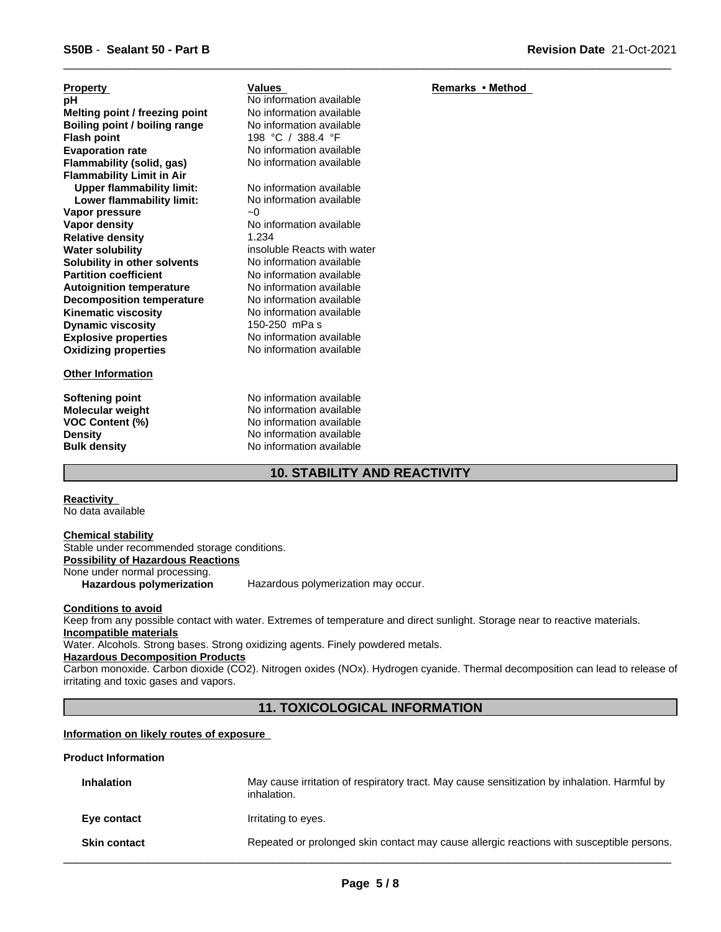| <b>Property</b>                  | <b>Values</b>               | <b>Remarks</b> |
|----------------------------------|-----------------------------|----------------|
| рH                               | No information available    |                |
| Melting point / freezing point   | No information available    |                |
| Boiling point / boiling range    | No information available    |                |
| <b>Flash point</b>               | 198 °C / 388.4 °F           |                |
| <b>Evaporation rate</b>          | No information available    |                |
| Flammability (solid, gas)        | No information available    |                |
| <b>Flammability Limit in Air</b> |                             |                |
| <b>Upper flammability limit:</b> | No information available    |                |
| Lower flammability limit:        | No information available    |                |
| Vapor pressure                   | ~0                          |                |
| Vapor density                    | No information available    |                |
| <b>Relative density</b>          | 1.234                       |                |
| <b>Water solubility</b>          | insoluble Reacts with water |                |
| Solubility in other solvents     | No information available    |                |
| <b>Partition coefficient</b>     | No information available    |                |
| <b>Autoignition temperature</b>  | No information available    |                |
| <b>Decomposition temperature</b> | No information available    |                |
| <b>Kinematic viscosity</b>       | No information available    |                |
| <b>Dynamic viscosity</b>         | 150-250 mPa s               |                |
| <b>Explosive properties</b>      | No information available    |                |
| <b>Oxidizing properties</b>      | No information available    |                |
| <b>Other Information</b>         |                             |                |

**Softening point** No information available

**Molecular weight** No information available **VOC Content (%)** No information available **Density Density Density No information available Bulk density No information available No information available** 

## **10. STABILITY AND REACTIVITY**

**Reactivity**  No data available

**Chemical stability**

Stable under recommended storage conditions. **Possibility of Hazardous Reactions** None under normal processing. **Hazardous polymerization** Hazardous polymerization may occur.

**Conditions to avoid**

Keep from any possible contact with water. Extremes of temperature and direct sunlight. Storage near to reactive materials. **Incompatible materials**

Water. Alcohols. Strong bases. Strong oxidizing agents. Finely powdered metals.

**Hazardous Decomposition Products**

Carbon monoxide. Carbon dioxide (CO2). Nitrogen oxides (NOx). Hydrogen cyanide. Thermal decomposition can lead to release of irritating and toxic gases and vapors.

## **11. TOXICOLOGICAL INFORMATION**

## **Information on likely routes of exposure**

## **Product Information**

| <b>Inhalation</b>   | May cause irritation of respiratory tract. May cause sensitization by inhalation. Harmful by<br>inhalation. |
|---------------------|-------------------------------------------------------------------------------------------------------------|
| Eye contact         | Irritating to eyes.                                                                                         |
| <b>Skin contact</b> | Repeated or prolonged skin contact may cause allergic reactions with susceptible persons.                   |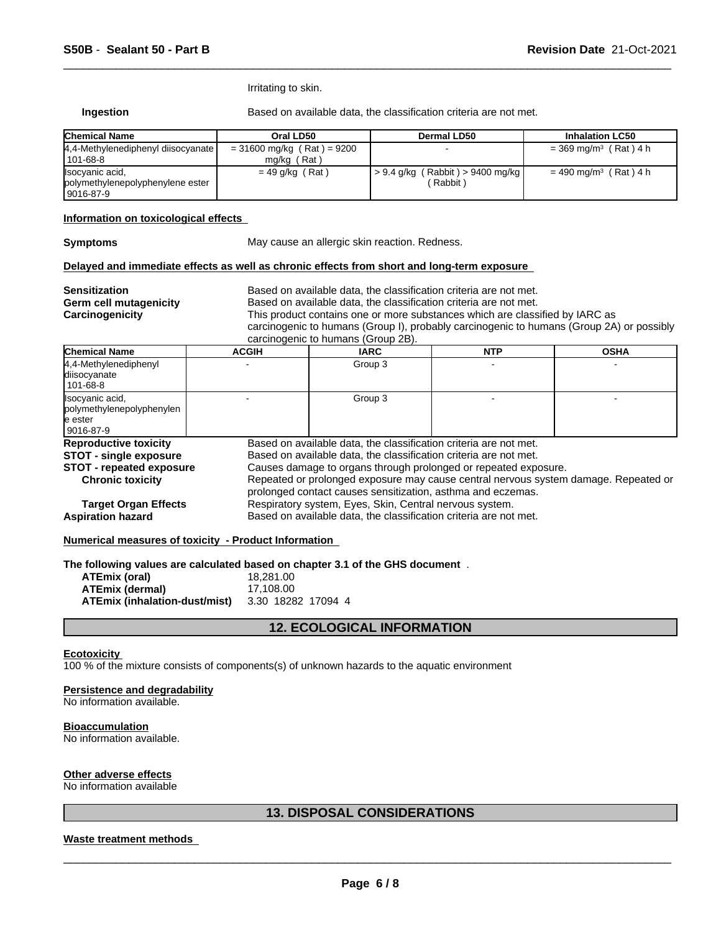Irritating to skin.

**Ingestion** Based on available data, the classification criteria are not met.

 $\overline{\phantom{a}}$  ,  $\overline{\phantom{a}}$  ,  $\overline{\phantom{a}}$  ,  $\overline{\phantom{a}}$  ,  $\overline{\phantom{a}}$  ,  $\overline{\phantom{a}}$  ,  $\overline{\phantom{a}}$  ,  $\overline{\phantom{a}}$  ,  $\overline{\phantom{a}}$  ,  $\overline{\phantom{a}}$  ,  $\overline{\phantom{a}}$  ,  $\overline{\phantom{a}}$  ,  $\overline{\phantom{a}}$  ,  $\overline{\phantom{a}}$  ,  $\overline{\phantom{a}}$  ,  $\overline{\phantom{a}}$ 

| <b>Chemical Name</b>                                                | Oral LD50                                   | Dermal LD50                                               | <b>Inhalation LC50</b>              |
|---------------------------------------------------------------------|---------------------------------------------|-----------------------------------------------------------|-------------------------------------|
| 4.4-Methylenediphenyl diisocyanate  <br>101-68-8                    | $= 31600$ mg/kg (Rat) = 9200<br>mg/kg (Rat) |                                                           | $=$ 369 mg/m <sup>3</sup> (Rat) 4 h |
| Ilsocyanic acid,<br>polymethylenepolyphenylene ester<br>l 9016-87-9 | $= 49$ g/kg (Rat)                           | $\frac{1}{2}$ > 9.4 g/kg (Rabbit) > 9400 mg/kg<br>Rabbit) | $= 490$ mg/m <sup>3</sup> (Rat) 4 h |

## **Information on toxicological effects**

**Symptoms** May cause an allergic skin reaction. Redness.

#### **Delayed and immediate effects as well as chronic effects from short and long-term exposure**

| <b>Sensitization</b><br>Germ cell mutagenicity<br>Carcinogenicity | Based on available data, the classification criteria are not met.<br>Based on available data, the classification criteria are not met.<br>This product contains one or more substances which are classified by IARC as<br>carcinogenic to humans (Group I), probably carcinogenic to humans (Group 2A) or possibly<br>carcinogenic to humans (Group 2B). |         |            |             |  |
|-------------------------------------------------------------------|----------------------------------------------------------------------------------------------------------------------------------------------------------------------------------------------------------------------------------------------------------------------------------------------------------------------------------------------------------|---------|------------|-------------|--|
| <b>Chemical Name</b>                                              | <b>ACGIH</b>                                                                                                                                                                                                                                                                                                                                             | IARC    | <b>NTP</b> | <b>OSHA</b> |  |
| 4,4-Methylenediphenyl<br>diisocyanate<br>101-68-8                 |                                                                                                                                                                                                                                                                                                                                                          | Group 3 |            |             |  |
| Isocyanic acid.                                                   |                                                                                                                                                                                                                                                                                                                                                          | Group 3 |            |             |  |

| polymethylenepolyphenylen       |                                                                                     |  |  |  |
|---------------------------------|-------------------------------------------------------------------------------------|--|--|--|
| le ester                        |                                                                                     |  |  |  |
| $ 9016-87-9$                    |                                                                                     |  |  |  |
| <b>Reproductive toxicity</b>    | Based on available data, the classification criteria are not met.                   |  |  |  |
| <b>STOT - single exposure</b>   | Based on available data, the classification criteria are not met.                   |  |  |  |
| <b>STOT</b> - repeated exposure | Causes damage to organs through prolonged or repeated exposure.                     |  |  |  |
| <b>Chronic toxicity</b>         | Repeated or prolonged exposure may cause central nervous system damage. Repeated or |  |  |  |
|                                 | prolonged contact causes sensitization, asthma and eczemas.                         |  |  |  |
| <b>Target Organ Effects</b>     | Respiratory system, Eyes, Skin, Central nervous system.                             |  |  |  |
| <b>Aspiration hazard</b>        | Based on available data, the classification criteria are not met.                   |  |  |  |

## **Numerical measures of toxicity - Product Information**

**The following values are calculated based on chapter 3.1 of the GHS document** .

| <b>ATEmix (oral)</b>          | 18.281.00          |
|-------------------------------|--------------------|
| ATEmix (dermal)               | 17.108.00          |
| ATEmix (inhalation-dust/mist) | 3.30 18282 17094 4 |

## **12. ECOLOGICAL INFORMATION**

#### **Ecotoxicity**

100 % of the mixture consists of components(s) of unknown hazards to the aquatic environment

## **Persistence and degradability**

No information available.

#### **Bioaccumulation**

No information available.

#### **Other adverse effects**

No information available

## **13. DISPOSAL CONSIDERATIONS**

## **Waste treatment methods**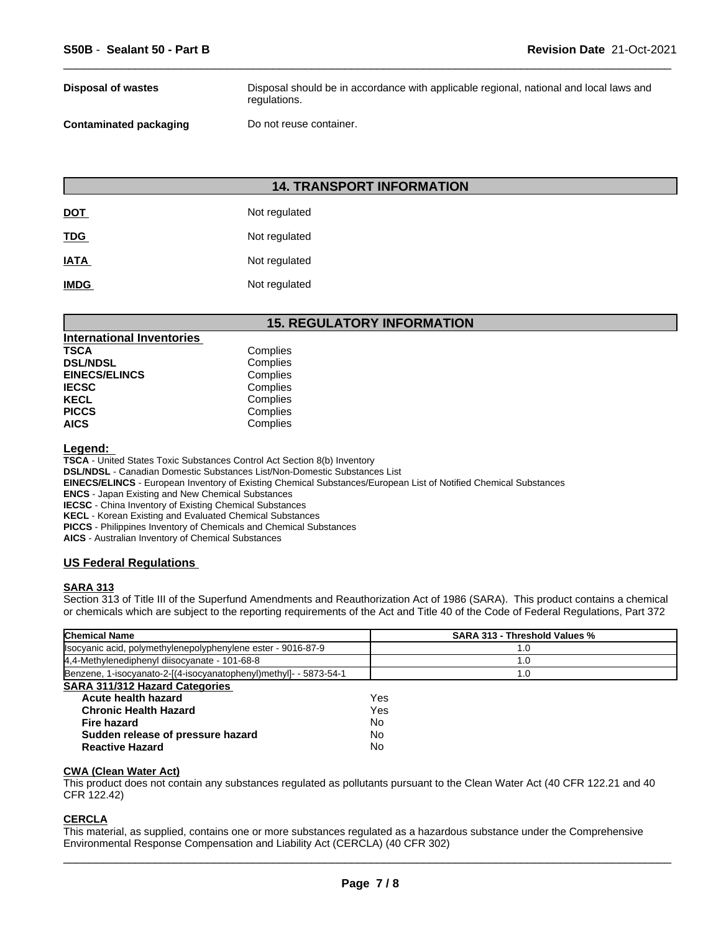| <b>Disposal of wastes</b>     | Disposal should be in accordance with applicable regional, national and local laws and<br>regulations. |
|-------------------------------|--------------------------------------------------------------------------------------------------------|
| <b>Contaminated packaging</b> | Do not reuse container.                                                                                |

 $\overline{\phantom{a}}$  ,  $\overline{\phantom{a}}$  ,  $\overline{\phantom{a}}$  ,  $\overline{\phantom{a}}$  ,  $\overline{\phantom{a}}$  ,  $\overline{\phantom{a}}$  ,  $\overline{\phantom{a}}$  ,  $\overline{\phantom{a}}$  ,  $\overline{\phantom{a}}$  ,  $\overline{\phantom{a}}$  ,  $\overline{\phantom{a}}$  ,  $\overline{\phantom{a}}$  ,  $\overline{\phantom{a}}$  ,  $\overline{\phantom{a}}$  ,  $\overline{\phantom{a}}$  ,  $\overline{\phantom{a}}$ 

## **14. TRANSPORT INFORMATION**

| <b>DOT</b>  | Not regulated |
|-------------|---------------|
| <b>TDG</b>  | Not regulated |
| <b>IATA</b> | Not regulated |
| <b>IMDG</b> | Not regulated |

## **15. REGULATORY INFORMATION**

| <b>International Inventories</b> |          |
|----------------------------------|----------|
| TSCA                             | Complies |
| <b>DSL/NDSL</b>                  | Complies |
| <b>EINECS/ELINCS</b>             | Complies |
| IECSC                            | Complies |
| KECL                             | Complies |
| PICCS                            | Complies |
| AICS                             | Complies |
|                                  |          |

**Legend:** 

**TSCA** - United States Toxic Substances Control Act Section 8(b) Inventory

**DSL/NDSL** - Canadian Domestic Substances List/Non-Domestic Substances List

**EINECS/ELINCS** - European Inventory of Existing Chemical Substances/European List of Notified Chemical Substances

**ENCS** - Japan Existing and New Chemical Substances

**IECSC** - China Inventory of Existing Chemical Substances

**KECL** - Korean Existing and Evaluated Chemical Substances

**PICCS** - Philippines Inventory of Chemicals and Chemical Substances

**AICS** - Australian Inventory of Chemical Substances

## **US Federal Regulations**

## **SARA 313**

Section 313 of Title III of the Superfund Amendments and Reauthorization Act of 1986 (SARA). This product contains a chemical or chemicals which are subject to the reporting requirements of the Act and Title 40 of the Code of Federal Regulations, Part 372

| <b>Chemical Name</b>                                              | <b>SARA 313 - Threshold Values %</b> |  |
|-------------------------------------------------------------------|--------------------------------------|--|
| Isocyanic acid, polymethylenepolyphenylene ester - 9016-87-9      | 1.0                                  |  |
| 4,4-Methylenediphenyl diisocyanate - 101-68-8                     | 1.0                                  |  |
| Benzene, 1-isocyanato-2-[(4-isocyanatophenyl)methyl]- - 5873-54-1 | 1.0                                  |  |
| <b>SARA 311/312 Hazard Categories</b>                             |                                      |  |
| Acute health hazard                                               | Yes                                  |  |
| <b>Chronic Health Hazard</b>                                      | Yes                                  |  |
| Fire hazard                                                       | No                                   |  |
| Sudden release of pressure hazard                                 | No                                   |  |
| <b>Reactive Hazard</b>                                            | No                                   |  |

## **CWA (Clean Water Act)**

This product does not contain any substances regulated as pollutants pursuant to the Clean Water Act (40 CFR 122.21 and 40 CFR 122.42)

## **CERCLA**

This material, as supplied, contains one or more substances regulated as a hazardous substance under the Comprehensive Environmental Response Compensation and Liability Act (CERCLA) (40 CFR 302)